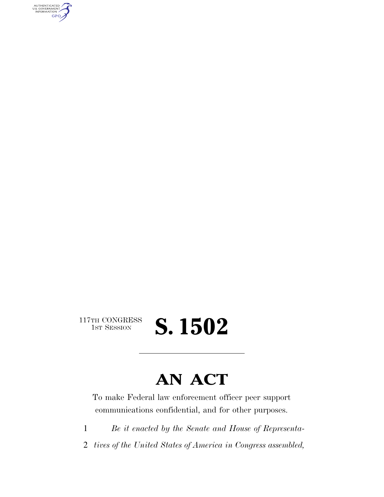AUTHENTICATED<br>U.S. GOVERNMENT<br>INFORMATION GPO

> $\begin{array}{c} \textbf{117TH CONGRESS} \\ \textbf{1ST SESION} \end{array}$ 1ST SESSION **S. 1502**

## **AN ACT**

To make Federal law enforcement officer peer support communications confidential, and for other purposes.

1 *Be it enacted by the Senate and House of Representa-*

2 *tives of the United States of America in Congress assembled,*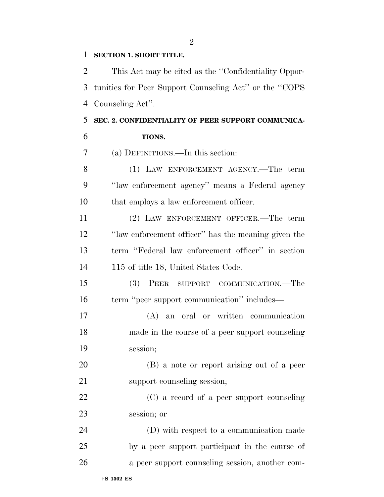#### **SECTION 1. SHORT TITLE.**

 This Act may be cited as the ''Confidentiality Oppor- tunities for Peer Support Counseling Act'' or the ''COPS Counseling Act''.

### **SEC. 2. CONFIDENTIALITY OF PEER SUPPORT COMMUNICA-**

| 6 | TIONS. |
|---|--------|
|   |        |

(a) DEFINITIONS.—In this section:

 (1) LAW ENFORCEMENT AGENCY.—The term ''law enforcement agency'' means a Federal agency that employs a law enforcement officer.

 (2) LAW ENFORCEMENT OFFICER.—The term ''law enforcement officer'' has the meaning given the term ''Federal law enforcement officer'' in section 14 115 of title 18, United States Code.

 (3) PEER SUPPORT COMMUNICATION.—The 16 term "peer support communication" includes—

 (A) an oral or written communication made in the course of a peer support counseling session;

 (B) a note or report arising out of a peer 21 support counseling session;

 (C) a record of a peer support counseling session; or

 (D) with respect to a communication made by a peer support participant in the course of a peer support counseling session, another com-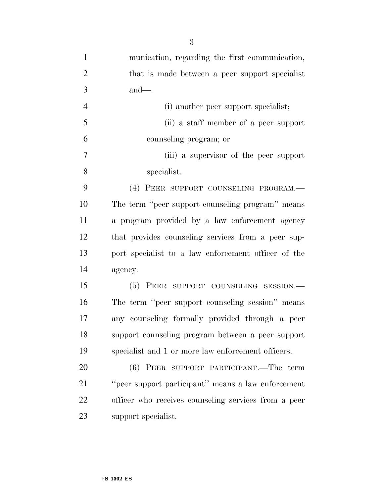| $\mathbf{1}$   | munication, regarding the first communication,       |
|----------------|------------------------------------------------------|
| $\overline{2}$ | that is made between a peer support specialist       |
| 3              | $and$ —                                              |
| $\overline{4}$ | (i) another peer support specialist;                 |
| 5              | (ii) a staff member of a peer support                |
| 6              | counseling program; or                               |
| 7              | (iii) a supervisor of the peer support               |
| 8              | specialist.                                          |
| 9              | (4) PEER SUPPORT COUNSELING PROGRAM.                 |
| 10             | The term "peer support counseling program" means     |
| 11             | a program provided by a law enforcement agency       |
| 12             | that provides counseling services from a peer sup-   |
| 13             | port specialist to a law enforcement officer of the  |
| 14             | agency.                                              |
| 15             | (5) PEER SUPPORT COUNSELING SESSION.-                |
| 16             | The term "peer support counseling session" means     |
| 17             | any counseling formally provided through a peer      |
| 18             | support counseling program between a peer support    |
| 19             | specialist and 1 or more law enforcement officers.   |
| 20             | (6) PEER SUPPORT PARTICIPANT.—The term               |
| 21             | "peer support participant" means a law enforcement   |
| 22             | officer who receives counseling services from a peer |
| 23             | support specialist.                                  |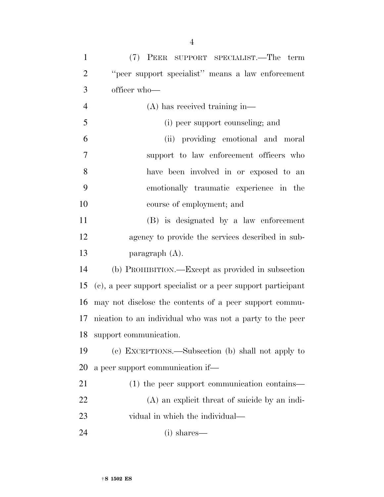| $\mathbf{1}$   | (7) PEER SUPPORT SPECIALIST.—The term                        |
|----------------|--------------------------------------------------------------|
| $\overline{2}$ | "peer support specialist" means a law enforcement            |
| 3              | officer who-                                                 |
| $\overline{4}$ | $(A)$ has received training in—                              |
| 5              | (i) peer support counseling; and                             |
| 6              | (ii) providing emotional and moral                           |
| 7              | support to law enforcement officers who                      |
| 8              | have been involved in or exposed to an                       |
| 9              | emotionally traumatic experience in the                      |
| 10             | course of employment; and                                    |
| 11             | (B) is designated by a law enforcement                       |
| 12             | agency to provide the services described in sub-             |
| 13             | paragraph $(A)$ .                                            |
| 14             | (b) PROHIBITION.—Except as provided in subsection            |
| 15             | (c), a peer support specialist or a peer support participant |
| 16             | may not disclose the contents of a peer support commu-       |
| 17             | nication to an individual who was not a party to the peer    |
| 18             | support communication.                                       |
| 19             | (c) EXCEPTIONS.—Subsection (b) shall not apply to            |
| 20             | a peer support communication if—                             |
| 21             | $(1)$ the peer support communication contains—               |
| 22             | (A) an explicit threat of suicide by an indi-                |
| 23             | vidual in which the individual—                              |
| 24             | $(i)$ shares—                                                |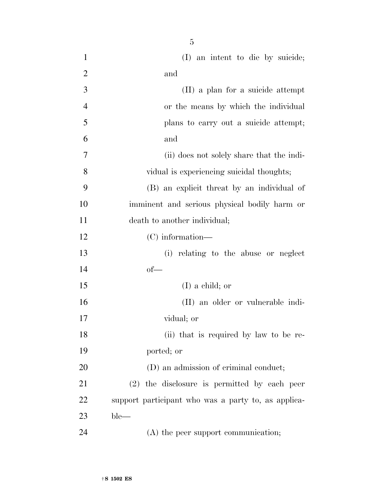| $\mathbf{1}$   | (I) an intent to die by suicide;                    |
|----------------|-----------------------------------------------------|
| $\overline{2}$ | and                                                 |
| 3              | (II) a plan for a suicide attempt                   |
| $\overline{4}$ | or the means by which the individual                |
| 5              | plans to carry out a suicide attempt;               |
| 6              | and                                                 |
| 7              | (ii) does not solely share that the indi-           |
| 8              | vidual is experiencing suicidal thoughts;           |
| 9              | (B) an explicit threat by an individual of          |
| 10             | imminent and serious physical bodily harm or        |
| 11             | death to another individual;                        |
| 12             | $(C)$ information—                                  |
| 13             | (i) relating to the abuse or neglect                |
| 14             | $of$ —                                              |
| 15             | $(I)$ a child; or                                   |
| 16             | (II) an older or vulnerable indi-                   |
| 17             | vidual; or                                          |
| 18             | (ii) that is required by law to be re-              |
| 19             | ported; or                                          |
| 20             | (D) an admission of criminal conduct;               |
| 21             | $(2)$ the disclosure is permitted by each peer      |
| 22             | support participant who was a party to, as applica- |
| 23             | $ble-$                                              |
| 24             | (A) the peer support communication;                 |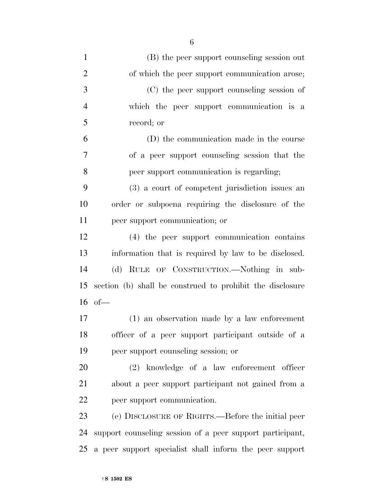| $\mathbf{1}$   | (B) the peer support counseling session out               |
|----------------|-----------------------------------------------------------|
| $\overline{2}$ | of which the peer support communication arose;            |
| 3              | (C) the peer support counseling session of                |
| $\overline{4}$ | which the peer support communication is a                 |
| 5              | record; or                                                |
| 6              | (D) the communication made in the course                  |
| 7              | of a peer support counseling session that the             |
| 8              | peer support communication is regarding;                  |
| 9              | (3) a court of competent jurisdiction issues an           |
| 10             | order or subpoena requiring the disclosure of the         |
| 11             | peer support communication; or                            |
| 12             | (4) the peer support communication contains               |
| 13             | information that is required by law to be disclosed.      |
| 14             | (d) RULE OF CONSTRUCTION.—Nothing in sub-                 |
| 15             | section (b) shall be construed to prohibit the disclosure |
| 16             | of                                                        |
| 17             | (1) an observation made by a law enforcement              |
| 18             | officer of a peer support participant outside of a        |
| 19             | peer support counseling session; or                       |
| 20             | (2) knowledge of a law enforcement officer                |
| 21             | about a peer support participant not gained from a        |
| <u>22</u>      | peer support communication.                               |
| 23             | (e) DISCLOSURE OF RIGHTS.—Before the initial peer         |
| 24             | support counseling session of a peer support participant, |
| 25             | a peer support specialist shall inform the peer support   |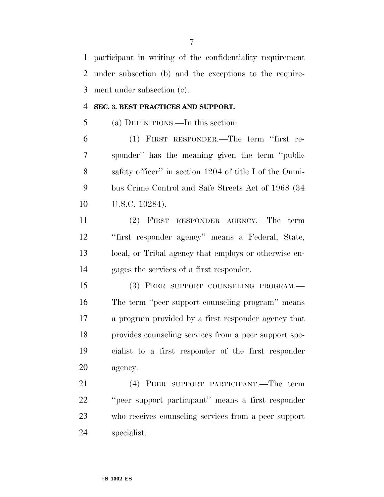participant in writing of the confidentiality requirement under subsection (b) and the exceptions to the require-ment under subsection (c).

#### **SEC. 3. BEST PRACTICES AND SUPPORT.**

(a) DEFINITIONS.—In this section:

 (1) FIRST RESPONDER.—The term ''first re- sponder'' has the meaning given the term ''public safety officer'' in section 1204 of title I of the Omni- bus Crime Control and Safe Streets Act of 1968 (34 10 U.S.C. 10284).

 (2) FIRST RESPONDER AGENCY.—The term ''first responder agency'' means a Federal, State, local, or Tribal agency that employs or otherwise en-gages the services of a first responder.

 (3) PEER SUPPORT COUNSELING PROGRAM.— The term ''peer support counseling program'' means a program provided by a first responder agency that provides counseling services from a peer support spe- cialist to a first responder of the first responder agency.

 (4) PEER SUPPORT PARTICIPANT.—The term ''peer support participant'' means a first responder who receives counseling services from a peer support specialist.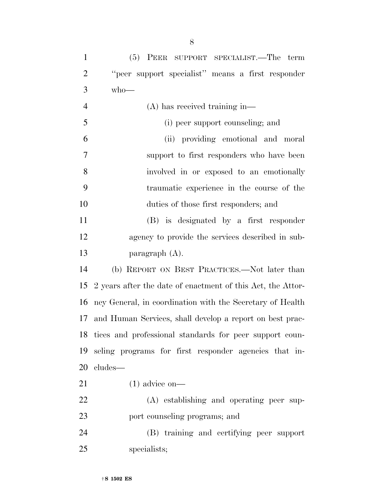| $\mathbf{1}$   | (5) PEER SUPPORT SPECIALIST.—The term                       |
|----------------|-------------------------------------------------------------|
| $\overline{2}$ | "peer support specialist" means a first responder           |
| 3              | $who$ —                                                     |
| $\overline{4}$ | $(A)$ has received training in—                             |
| 5              | (i) peer support counseling; and                            |
| 6              | (ii) providing emotional and moral                          |
| 7              | support to first responders who have been                   |
| 8              | involved in or exposed to an emotionally                    |
| 9              | traumatic experience in the course of the                   |
| 10             | duties of those first responders; and                       |
| 11             | (B) is designated by a first responder                      |
| 12             | agency to provide the services described in sub-            |
| 13             | paragraph $(A)$ .                                           |
| 14             | (b) REPORT ON BEST PRACTICES.—Not later than                |
| 15             | 2 years after the date of enactment of this Act, the Attor- |
| 16             | ney General, in coordination with the Secretary of Health   |
| 17             | and Human Services, shall develop a report on best prac-    |
|                | 18 tices and professional standards for peer support coun-  |
| 19             | seling programs for first responder agencies that in-       |
| 20             | cludes—                                                     |
| 21             | $(1)$ advice on—                                            |
| 22             | (A) establishing and operating peer sup-                    |
| 23             | port counseling programs; and                               |
| 24             | (B) training and certifying peer support                    |
| 25             | specialists;                                                |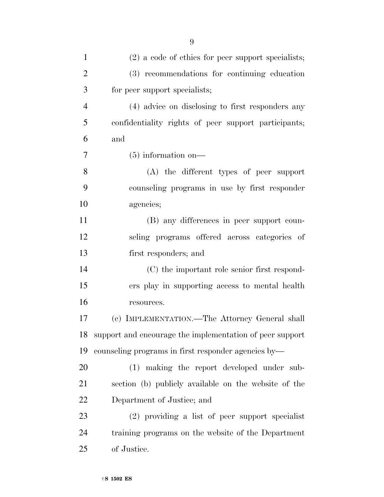| $\mathbf{1}$   | $(2)$ a code of ethics for peer support specialists;     |
|----------------|----------------------------------------------------------|
| $\overline{2}$ | (3) recommendations for continuing education             |
| 3              | for peer support specialists;                            |
| $\overline{4}$ | (4) advice on disclosing to first responders any         |
| 5              | confidentiality rights of peer support participants;     |
| 6              | and                                                      |
| $\tau$         | $(5)$ information on—                                    |
| 8              | (A) the different types of peer support                  |
| 9              | counseling programs in use by first responder            |
| 10             | agencies;                                                |
| 11             | (B) any differences in peer support coun-                |
| 12             | seling programs offered across categories of             |
| 13             | first responders; and                                    |
| 14             | (C) the important role senior first respond-             |
| 15             | ers play in supporting access to mental health           |
| 16             | resources.                                               |
| 17             | (c) IMPLEMENTATION.—The Attorney General shall           |
| 18             | support and encourage the implementation of peer support |
| 19             | counseling programs in first responder agencies by—      |
| 20             | (1) making the report developed under sub-               |
| 21             | section (b) publicly available on the website of the     |
| 22             | Department of Justice; and                               |
| 23             | (2) providing a list of peer support specialist          |
| 24             | training programs on the website of the Department       |
| 25             | of Justice.                                              |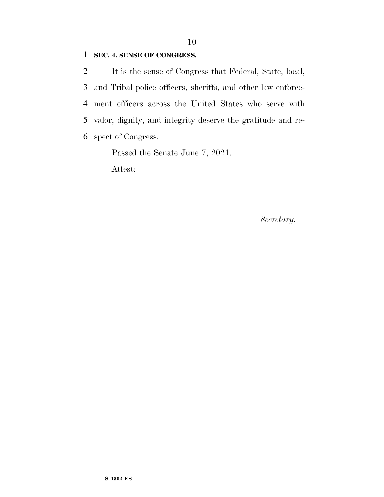#### **SEC. 4. SENSE OF CONGRESS.**

 It is the sense of Congress that Federal, State, local, and Tribal police officers, sheriffs, and other law enforce- ment officers across the United States who serve with valor, dignity, and integrity deserve the gratitude and re-spect of Congress.

Passed the Senate June 7, 2021.

Attest:

*Secretary.*